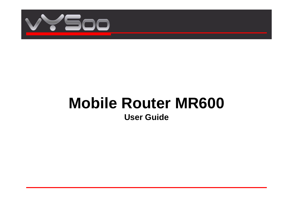

# **Mobile Router MR600 User Guide**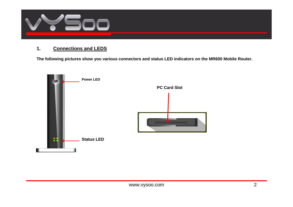

# **1. Connections and LEDS**

The following pictures show you various connectors and status LED indicators on the MR600 Mobile Router.

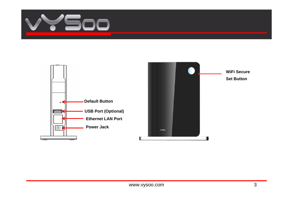

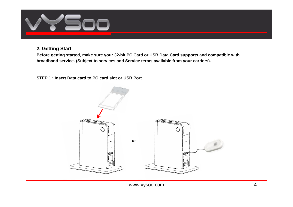

# **2. Getting Start**

**Before getting started, make sure your 32-bit PC Card or USB Data Card supports and compatible with broadband service. (Subject to services and Service terms available from your carriers).** 

## **STEP 1 : Insert Data card to PC card slot or USB Port**

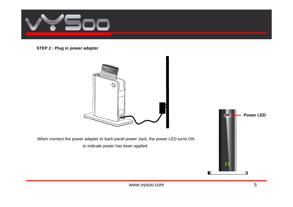

#### **STEP 2 : Plug in power adapter**



When connect the power adapter to back panel power Jack, the power LED turns ON to indicate power has been applied.

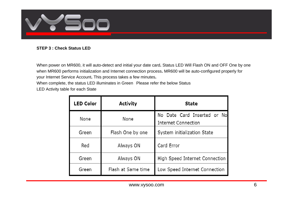

#### **STEP 3 : Check Status LED**

When power on MR600, it will auto-detect and initial your date card**.** Status LED Will Flash ON and OFF One by one when MR600 performs initialization and Internet connection process**.** MR600 will be auto-configured properly for your Internet Service Account**.** This process takes a few minutes**.**

When complete, the status LED illuminates in Green Please refer the below Status

LED Activity table for each State

| <b>LED Color</b> | <b>Activity</b>    | <b>State</b>                                       |
|------------------|--------------------|----------------------------------------------------|
| None             | None               | No Date Card Inserted or No<br>Internet Connection |
| Green            | Flash One by one   | System initialization State                        |
| Red              | Always ON          | Card Error                                         |
| Green            | Always ON          | High Speed Internet Connection                     |
| Green            | Flash at Same time | Low Speed Internet Connection                      |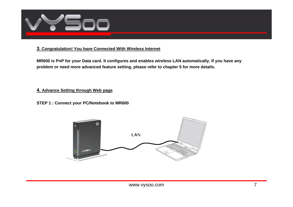

## **3. Congratulation! You have Connected With Wireless Internet**

**MR600 is PnP for your Data card. It configures and enables wireless LAN automatically. If you have any problem or need more advanced feature setting, please refer to chapter 5 for more details.** 

#### **4. Advance Setting through Web page**

#### **STEP 1 : Connect your PC/Notebook to MR600**

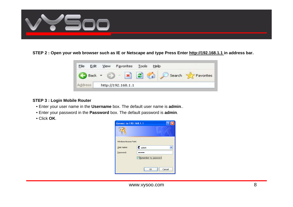

**STEP 2 : Open your web browser such as IE or Netscape and type Press Enter http://192.168.1.1 in address bar.**



#### **STEP 3 : Login Mobile Router**

- Enter your user name in the **Username** box. The default user name is **admin**..
- Enter your password in the **Password** box. The default password is **admin**.
- Click **OK**.

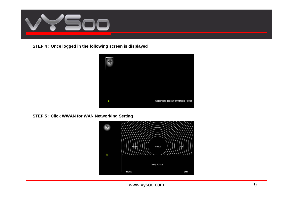

**STEP 4 : Once logged in the following screen is displayed**



# **STEP 5 : Click WWAN for WAN Networking Setting**

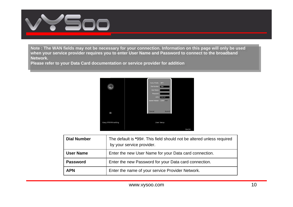

ivided in the wait inclusing that be necessary for your conflection. Information on this page will only be used<br>These your earnies previder requires you to enter Hear News and Decenteral to connect to the breadboard when your service provider requires you to enter User Name and Password to connect to the broadband<br>Nationale Note : The WAN fields may not be necessary for your connection. Information on this page will only be used **Network.** 

network.<br>Please refer to your Data Card documentation or service provider for addition



| <b>Dial Number</b> | The default is *99#. This field should not be altered unless required<br>by your service provider. |
|--------------------|----------------------------------------------------------------------------------------------------|
| <b>User Name</b>   | Enter the new User Name for your Data card connection.                                             |
| <b>Password</b>    | Enter the new Password for your Data card connection.                                              |
| <b>APN</b>         | Enter the name of your service Provider Network.                                                   |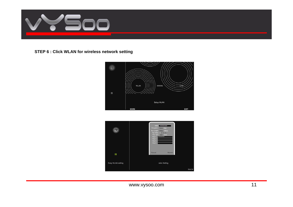

# **STEP 6 : Click WLAN for wireless network setting**



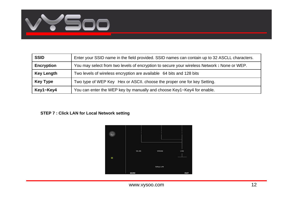

| <b>SSID</b>       | Enter your SSID name in the field provided. SSID names can contain up to 32 ASCLL characters. |
|-------------------|-----------------------------------------------------------------------------------------------|
| <b>Encryption</b> | You may select from two levels of encryption to secure your wireless Network: None or WEP.    |
| <b>Key Length</b> | Two levels of wireless encryption are available 64 bits and 128 bits                          |
| <b>Key Type</b>   | Two type of WEP Key Hex or ASCII. choose the proper one for key Setting.                      |
| Key1~Key4         | You can enter the WEP key by manually and choose Key1~Key4 for enable.                        |

# **STEP 7 : Click LAN for Local Network setting**



www.vysoo.com and the state of the state of the state of the state of the state of the state of the state of the state of the state of the state of the state of the state of the state of the state of the state of the state